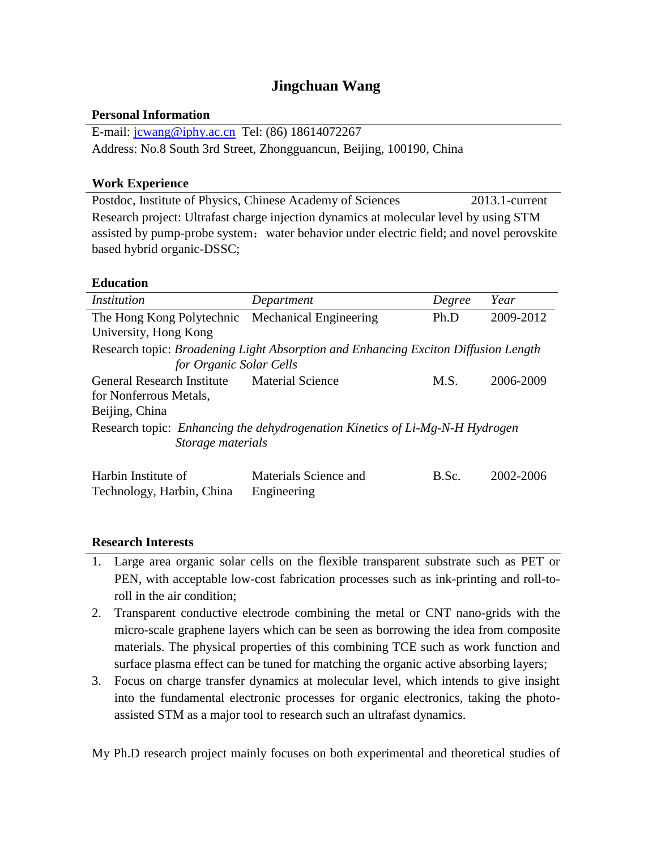# **Jingchuan Wang**

### **Personal Information**

E-mail: [jcwang@iphy.ac.cn](mailto:jcwang@iphy.ac.cn) Tel: (86) 18614072267 Address: No.8 South 3rd Street, Zhongguancun, Beijing, 100190, China

#### **Work Experience**

Postdoc, Institute of Physics, Chinese Academy of Sciences 2013.1-current Research project: Ultrafast charge injection dynamics at molecular level by using STM assisted by pump-probe system; water behavior under electric field; and novel perovskite based hybrid organic-DSSC;

### **Education**

| Institution                                                                        | Department              | Degree | Year      |
|------------------------------------------------------------------------------------|-------------------------|--------|-----------|
| The Hong Kong Polytechnic Mechanical Engineering                                   |                         | Ph.D   | 2009-2012 |
| University, Hong Kong                                                              |                         |        |           |
| Research topic: Broadening Light Absorption and Enhancing Exciton Diffusion Length |                         |        |           |
| for Organic Solar Cells                                                            |                         |        |           |
| <b>General Research Institute</b>                                                  | <b>Material Science</b> | M.S.   | 2006-2009 |
| for Nonferrous Metals,                                                             |                         |        |           |
| Beijing, China                                                                     |                         |        |           |
| Research topic: Enhancing the dehydrogenation Kinetics of Li-Mg-N-H Hydrogen       |                         |        |           |
| Storage materials                                                                  |                         |        |           |
|                                                                                    |                         |        |           |
| Harbin Institute of                                                                | Materials Science and   | B.Sc.  | 2002-2006 |
| Technology, Harbin, China                                                          | Engineering             |        |           |

#### **Research Interests**

- 1. Large area organic solar cells on the flexible transparent substrate such as PET or PEN, with acceptable low-cost fabrication processes such as ink-printing and roll-toroll in the air condition;
- 2. Transparent conductive electrode combining the metal or CNT nano-grids with the micro-scale graphene layers which can be seen as borrowing the idea from composite materials. The physical properties of this combining TCE such as work function and surface plasma effect can be tuned for matching the organic active absorbing layers;
- 3. Focus on charge transfer dynamics at molecular level, which intends to give insight into the fundamental electronic processes for organic electronics, taking the photoassisted STM as a major tool to research such an ultrafast dynamics.

My Ph.D research project mainly focuses on both experimental and theoretical studies of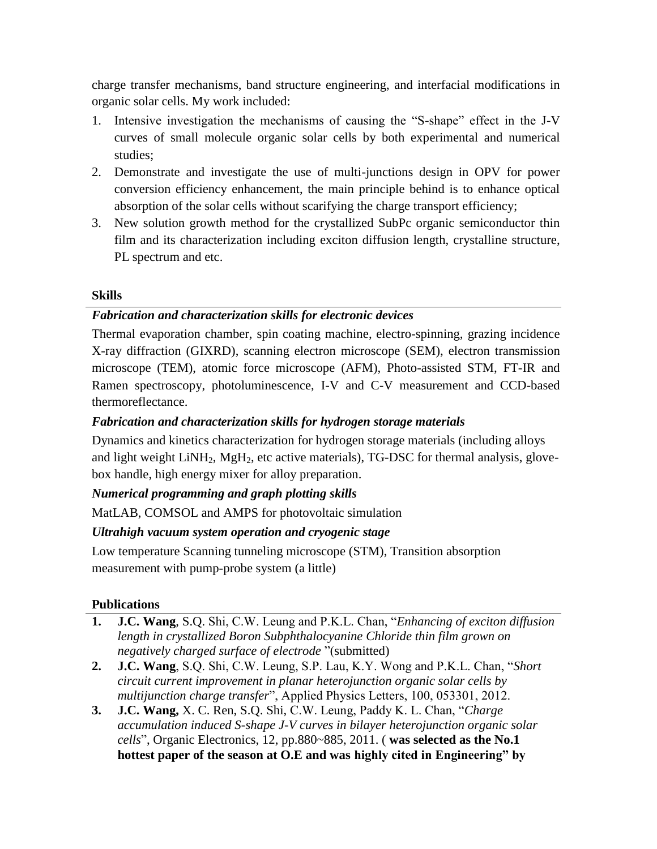charge transfer mechanisms, band structure engineering, and interfacial modifications in organic solar cells. My work included:

- 1. Intensive investigation the mechanisms of causing the "S-shape" effect in the J-V curves of small molecule organic solar cells by both experimental and numerical studies;
- 2. Demonstrate and investigate the use of multi-junctions design in OPV for power conversion efficiency enhancement, the main principle behind is to enhance optical absorption of the solar cells without scarifying the charge transport efficiency;
- 3. New solution growth method for the crystallized SubPc organic semiconductor thin film and its characterization including exciton diffusion length, crystalline structure, PL spectrum and etc.

## **Skills**

## *Fabrication and characterization skills for electronic devices*

Thermal evaporation chamber, spin coating machine, electro-spinning, grazing incidence X-ray diffraction (GIXRD), scanning electron microscope (SEM), electron transmission microscope (TEM), atomic force microscope (AFM), Photo-assisted STM, FT-IR and Ramen spectroscopy, photoluminescence, I-V and C-V measurement and CCD-based thermoreflectance.

## *Fabrication and characterization skills for hydrogen storage materials*

Dynamics and kinetics characterization for hydrogen storage materials (including alloys and light weight  $LiNH_2$ ,  $MgH_2$ , etc active materials), TG-DSC for thermal analysis, glovebox handle, high energy mixer for alloy preparation.

## *Numerical programming and graph plotting skills*

MatLAB, COMSOL and AMPS for photovoltaic simulation

## *Ultrahigh vacuum system operation and cryogenic stage*

Low temperature Scanning tunneling microscope (STM), Transition absorption measurement with pump-probe system (a little)

## **Publications**

- **1. J.C. Wang**, S.Q. Shi, C.W. Leung and P.K.L. Chan, "*Enhancing of exciton diffusion length in crystallized Boron Subphthalocyanine Chloride thin film grown on negatively charged surface of electrode* "(submitted)
- **2. J.C. Wang**, S.Q. Shi, C.W. Leung, S.P. Lau, K.Y. Wong and P.K.L. Chan, "*Short circuit current improvement in planar heterojunction organic solar cells by multijunction charge transfer*", Applied Physics Letters, 100, 053301, 2012.
- **3. J.C. Wang,** X. C. Ren, S.Q. Shi, C.W. Leung, Paddy K. L. Chan, "*Charge accumulation induced S-shape J-V curves in bilayer heterojunction organic solar cells*", Organic Electronics, 12, pp.880~885, 2011. ( **was selected as the No.1 hottest paper of the season at O.E and was highly cited in Engineering" by**